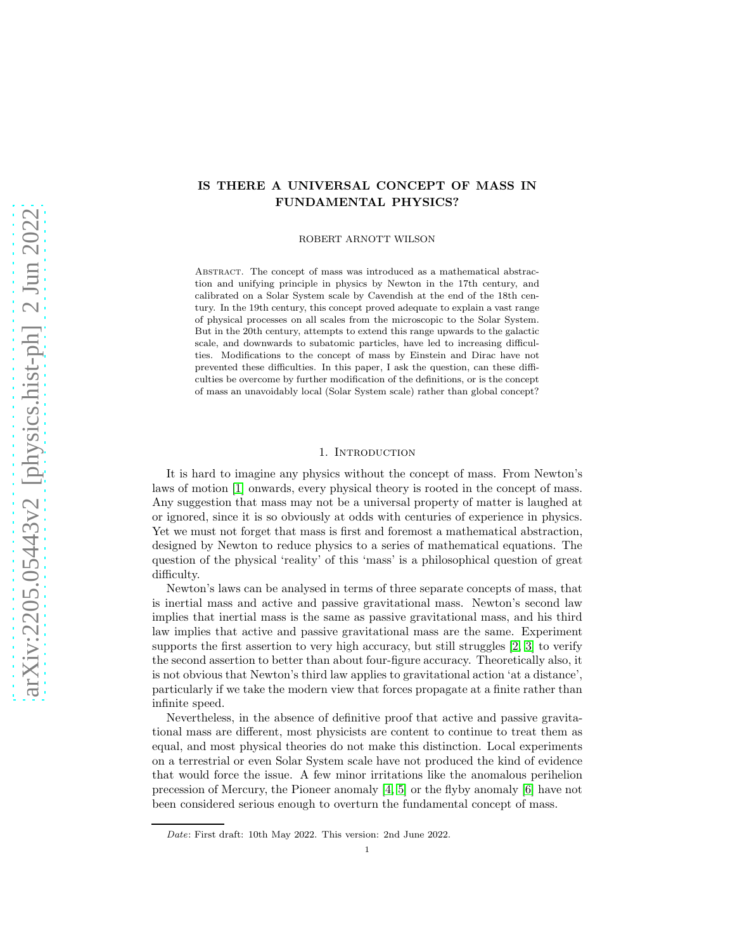# IS THERE A UNIVERSAL CONCEPT OF MASS IN FUNDAMENTAL PHYSICS?

ROBERT ARNOTT WILSON

ABSTRACT. The concept of mass was introduced as a mathematical abstraction and unifying principle in physics by Newton in the 17th century, and calibrated on a Solar System scale by Cavendish at the end of the 18th century. In the 19th century, this concept proved adequate to explain a vast range of physical processes on all scales from the microscopic to the Solar System. But in the 20th century, attempts to extend this range upwards to the galactic scale, and downwards to subatomic particles, have led to increasing difficulties. Modifications to the concept of mass by Einstein and Dirac have not prevented these difficulties. In this paper, I ask the question, can these difficulties be overcome by further modification of the definitions, or is the concept of mass an unavoidably local (Solar System scale) rather than global concept?

#### 1. Introduction

It is hard to imagine any physics without the concept of mass. From Newton's laws of motion [\[1\]](#page-7-0) onwards, every physical theory is rooted in the concept of mass. Any suggestion that mass may not be a universal property of matter is laughed at or ignored, since it is so obviously at odds with centuries of experience in physics. Yet we must not forget that mass is first and foremost a mathematical abstraction, designed by Newton to reduce physics to a series of mathematical equations. The question of the physical 'reality' of this 'mass' is a philosophical question of great difficulty.

Newton's laws can be analysed in terms of three separate concepts of mass, that is inertial mass and active and passive gravitational mass. Newton's second law implies that inertial mass is the same as passive gravitational mass, and his third law implies that active and passive gravitational mass are the same. Experiment supports the first assertion to very high accuracy, but still struggles  $[2, 3]$  $[2, 3]$  to verify the second assertion to better than about four-figure accuracy. Theoretically also, it is not obvious that Newton's third law applies to gravitational action 'at a distance', particularly if we take the modern view that forces propagate at a finite rather than infinite speed.

Nevertheless, in the absence of definitive proof that active and passive gravitational mass are different, most physicists are content to continue to treat them as equal, and most physical theories do not make this distinction. Local experiments on a terrestrial or even Solar System scale have not produced the kind of evidence that would force the issue. A few minor irritations like the anomalous perihelion precession of Mercury, the Pioneer anomaly [\[4,](#page-7-3) [5\]](#page-8-0) or the flyby anomaly [\[6\]](#page-8-1) have not been considered serious enough to overturn the fundamental concept of mass.

Date: First draft: 10th May 2022. This version: 2nd June 2022.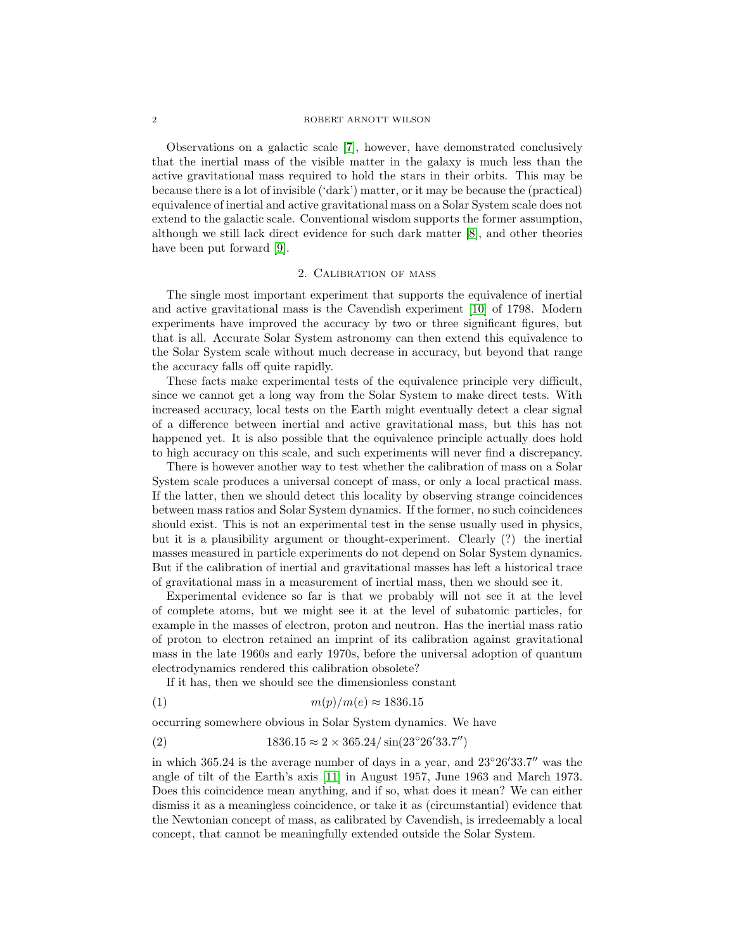#### 2 ROBERT ARNOTT WILSON

Observations on a galactic scale [\[7\]](#page-8-2), however, have demonstrated conclusively that the inertial mass of the visible matter in the galaxy is much less than the active gravitational mass required to hold the stars in their orbits. This may be because there is a lot of invisible ('dark') matter, or it may be because the (practical) equivalence of inertial and active gravitational mass on a Solar System scale does not extend to the galactic scale. Conventional wisdom supports the former assumption, although we still lack direct evidence for such dark matter [\[8\]](#page-8-3), and other theories have been put forward [\[9\]](#page-8-4).

### 2. Calibration of mass

The single most important experiment that supports the equivalence of inertial and active gravitational mass is the Cavendish experiment [\[10\]](#page-8-5) of 1798. Modern experiments have improved the accuracy by two or three significant figures, but that is all. Accurate Solar System astronomy can then extend this equivalence to the Solar System scale without much decrease in accuracy, but beyond that range the accuracy falls off quite rapidly.

These facts make experimental tests of the equivalence principle very difficult, since we cannot get a long way from the Solar System to make direct tests. With increased accuracy, local tests on the Earth might eventually detect a clear signal of a difference between inertial and active gravitational mass, but this has not happened yet. It is also possible that the equivalence principle actually does hold to high accuracy on this scale, and such experiments will never find a discrepancy.

There is however another way to test whether the calibration of mass on a Solar System scale produces a universal concept of mass, or only a local practical mass. If the latter, then we should detect this locality by observing strange coincidences between mass ratios and Solar System dynamics. If the former, no such coincidences should exist. This is not an experimental test in the sense usually used in physics, but it is a plausibility argument or thought-experiment. Clearly (?) the inertial masses measured in particle experiments do not depend on Solar System dynamics. But if the calibration of inertial and gravitational masses has left a historical trace of gravitational mass in a measurement of inertial mass, then we should see it.

Experimental evidence so far is that we probably will not see it at the level of complete atoms, but we might see it at the level of subatomic particles, for example in the masses of electron, proton and neutron. Has the inertial mass ratio of proton to electron retained an imprint of its calibration against gravitational mass in the late 1960s and early 1970s, before the universal adoption of quantum electrodynamics rendered this calibration obsolete?

If it has, then we should see the dimensionless constant

$$
(1) \t\t\t\t m(p)/m(e) \approx 1836.15
$$

occurring somewhere obvious in Solar System dynamics. We have

(2) 
$$
1836.15 \approx 2 \times 365.24 / \sin(23^{\circ}26'33.7'')
$$

in which 365.24 is the average number of days in a year, and  $23°26'33.7''$  was the angle of tilt of the Earth's axis [\[11\]](#page-8-6) in August 1957, June 1963 and March 1973. Does this coincidence mean anything, and if so, what does it mean? We can either dismiss it as a meaningless coincidence, or take it as (circumstantial) evidence that the Newtonian concept of mass, as calibrated by Cavendish, is irredeemably a local concept, that cannot be meaningfully extended outside the Solar System.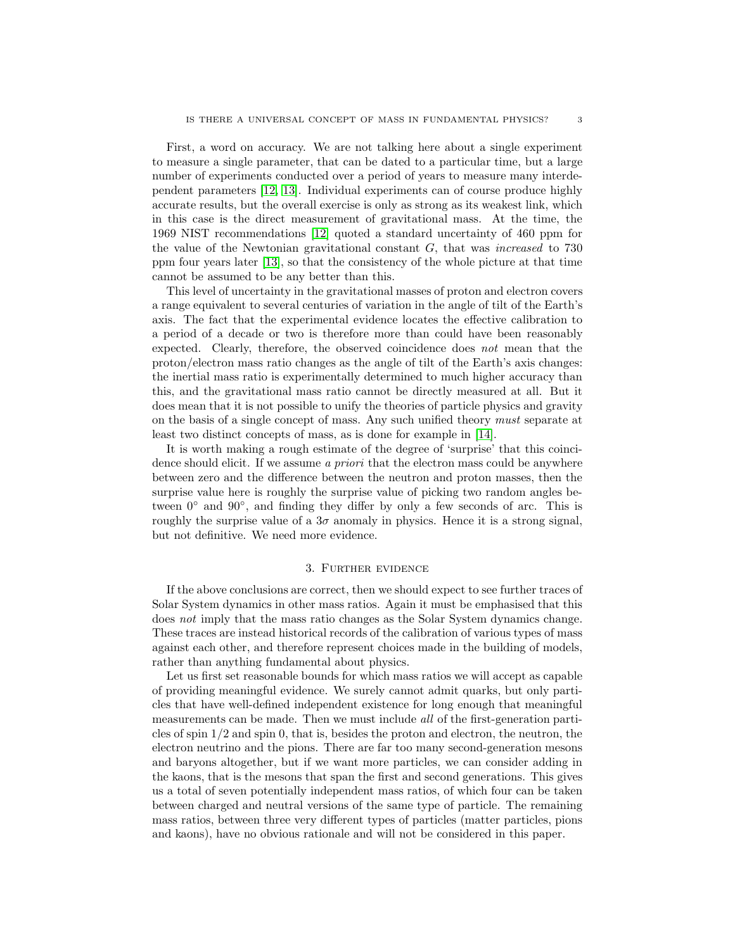First, a word on accuracy. We are not talking here about a single experiment to measure a single parameter, that can be dated to a particular time, but a large number of experiments conducted over a period of years to measure many interdependent parameters [\[12,](#page-8-7) [13\]](#page-8-8). Individual experiments can of course produce highly accurate results, but the overall exercise is only as strong as its weakest link, which in this case is the direct measurement of gravitational mass. At the time, the 1969 NIST recommendations [\[12\]](#page-8-7) quoted a standard uncertainty of 460 ppm for the value of the Newtonian gravitational constant  $G$ , that was *increased* to 730 ppm four years later [\[13\]](#page-8-8), so that the consistency of the whole picture at that time cannot be assumed to be any better than this.

This level of uncertainty in the gravitational masses of proton and electron covers a range equivalent to several centuries of variation in the angle of tilt of the Earth's axis. The fact that the experimental evidence locates the effective calibration to a period of a decade or two is therefore more than could have been reasonably expected. Clearly, therefore, the observed coincidence does not mean that the proton/electron mass ratio changes as the angle of tilt of the Earth's axis changes: the inertial mass ratio is experimentally determined to much higher accuracy than this, and the gravitational mass ratio cannot be directly measured at all. But it does mean that it is not possible to unify the theories of particle physics and gravity on the basis of a single concept of mass. Any such unified theory must separate at least two distinct concepts of mass, as is done for example in [\[14\]](#page-8-9).

It is worth making a rough estimate of the degree of 'surprise' that this coincidence should elicit. If we assume a priori that the electron mass could be anywhere between zero and the difference between the neutron and proton masses, then the surprise value here is roughly the surprise value of picking two random angles between 0° and 90°, and finding they differ by only a few seconds of arc. This is roughly the surprise value of a  $3\sigma$  anomaly in physics. Hence it is a strong signal, but not definitive. We need more evidence.

# 3. Further evidence

If the above conclusions are correct, then we should expect to see further traces of Solar System dynamics in other mass ratios. Again it must be emphasised that this does not imply that the mass ratio changes as the Solar System dynamics change. These traces are instead historical records of the calibration of various types of mass against each other, and therefore represent choices made in the building of models, rather than anything fundamental about physics.

Let us first set reasonable bounds for which mass ratios we will accept as capable of providing meaningful evidence. We surely cannot admit quarks, but only particles that have well-defined independent existence for long enough that meaningful measurements can be made. Then we must include all of the first-generation particles of spin 1/2 and spin 0, that is, besides the proton and electron, the neutron, the electron neutrino and the pions. There are far too many second-generation mesons and baryons altogether, but if we want more particles, we can consider adding in the kaons, that is the mesons that span the first and second generations. This gives us a total of seven potentially independent mass ratios, of which four can be taken between charged and neutral versions of the same type of particle. The remaining mass ratios, between three very different types of particles (matter particles, pions and kaons), have no obvious rationale and will not be considered in this paper.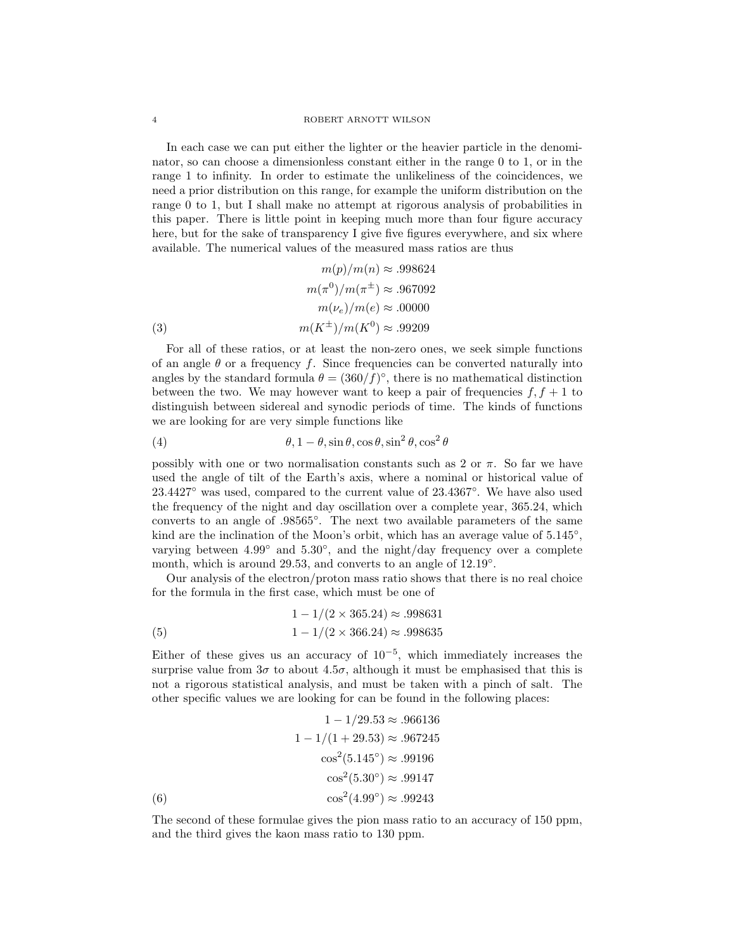#### 4 ROBERT ARNOTT WILSON

In each case we can put either the lighter or the heavier particle in the denominator, so can choose a dimensionless constant either in the range 0 to 1, or in the range 1 to infinity. In order to estimate the unlikeliness of the coincidences, we need a prior distribution on this range, for example the uniform distribution on the range 0 to 1, but I shall make no attempt at rigorous analysis of probabilities in this paper. There is little point in keeping much more than four figure accuracy here, but for the sake of transparency I give five figures everywhere, and six where available. The numerical values of the measured mass ratios are thus

$$
m(p)/m(n) \approx .998624
$$

$$
m(\pi^0)/m(\pi^{\pm}) \approx .967092
$$

$$
m(\nu_e)/m(e) \approx .00000
$$

$$
(3)
$$

$$
m(K^{\pm})/m(K^0) \approx .99209
$$

For all of these ratios, or at least the non-zero ones, we seek simple functions of an angle  $\theta$  or a frequency f. Since frequencies can be converted naturally into angles by the standard formula  $\theta = (360/f)^\circ$ , there is no mathematical distinction between the two. We may however want to keep a pair of frequencies  $f, f + 1$  to distinguish between sidereal and synodic periods of time. The kinds of functions we are looking for are very simple functions like

(4) 
$$
\theta
$$
,  $1 - \theta$ ,  $\sin \theta$ ,  $\cos \theta$ ,  $\sin^2 \theta$ ,  $\cos^2 \theta$ 

possibly with one or two normalisation constants such as 2 or  $\pi$ . So far we have used the angle of tilt of the Earth's axis, where a nominal or historical value of 23.4427◦ was used, compared to the current value of 23.4367◦ . We have also used the frequency of the night and day oscillation over a complete year, 365.24, which converts to an angle of .98565◦ . The next two available parameters of the same kind are the inclination of the Moon's orbit, which has an average value of  $5.145^{\circ}$ , varying between 4.99<sup>°</sup> and 5.30<sup>°</sup>, and the night/day frequency over a complete month, which is around 29.53, and converts to an angle of 12.19°.

Our analysis of the electron/proton mass ratio shows that there is no real choice for the formula in the first case, which must be one of

(5) 
$$
1 - 1/(2 \times 365.24) \approx .998631
$$

$$
1 - 1/(2 \times 366.24) \approx .998635
$$

Either of these gives us an accuracy of  $10^{-5}$ , which immediately increases the surprise value from  $3\sigma$  to about  $4.5\sigma$ , although it must be emphasised that this is not a rigorous statistical analysis, and must be taken with a pinch of salt. The other specific values we are looking for can be found in the following places:

$$
1 - 1/29.53 \approx .966136
$$

$$
1 - 1/(1 + 29.53) \approx .967245
$$

$$
\cos^{2}(5.145^{\circ}) \approx .99196
$$

$$
\cos^{2}(5.30^{\circ}) \approx .99147
$$

$$
(6)
$$

$$
\cos^{2}(4.99^{\circ}) \approx .99243
$$

The second of these formulae gives the pion mass ratio to an accuracy of 150 ppm, and the third gives the kaon mass ratio to 130 ppm.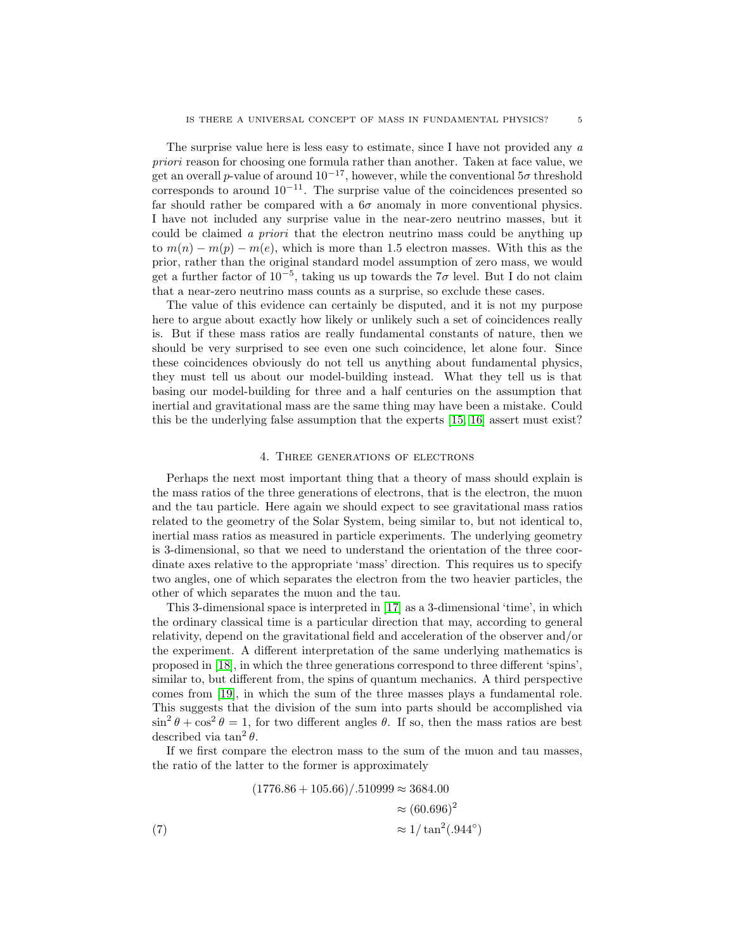The surprise value here is less easy to estimate, since I have not provided any a priori reason for choosing one formula rather than another. Taken at face value, we get an overall p-value of around  $10^{-17}$ , however, while the conventional  $5\sigma$  threshold corresponds to around  $10^{-11}$ . The surprise value of the coincidences presented so far should rather be compared with a  $6\sigma$  anomaly in more conventional physics. I have not included any surprise value in the near-zero neutrino masses, but it could be claimed a priori that the electron neutrino mass could be anything up to  $m(n) - m(p) - m(e)$ , which is more than 1.5 electron masses. With this as the prior, rather than the original standard model assumption of zero mass, we would get a further factor of  $10^{-5}$ , taking us up towards the  $7\sigma$  level. But I do not claim that a near-zero neutrino mass counts as a surprise, so exclude these cases.

The value of this evidence can certainly be disputed, and it is not my purpose here to argue about exactly how likely or unlikely such a set of coincidences really is. But if these mass ratios are really fundamental constants of nature, then we should be very surprised to see even one such coincidence, let alone four. Since these coincidences obviously do not tell us anything about fundamental physics, they must tell us about our model-building instead. What they tell us is that basing our model-building for three and a half centuries on the assumption that inertial and gravitational mass are the same thing may have been a mistake. Could this be the underlying false assumption that the experts [\[15,](#page-8-10) [16\]](#page-8-11) assert must exist?

### 4. Three generations of electrons

Perhaps the next most important thing that a theory of mass should explain is the mass ratios of the three generations of electrons, that is the electron, the muon and the tau particle. Here again we should expect to see gravitational mass ratios related to the geometry of the Solar System, being similar to, but not identical to, inertial mass ratios as measured in particle experiments. The underlying geometry is 3-dimensional, so that we need to understand the orientation of the three coordinate axes relative to the appropriate 'mass' direction. This requires us to specify two angles, one of which separates the electron from the two heavier particles, the other of which separates the muon and the tau.

This 3-dimensional space is interpreted in [\[17\]](#page-8-12) as a 3-dimensional 'time', in which the ordinary classical time is a particular direction that may, according to general relativity, depend on the gravitational field and acceleration of the observer and/or the experiment. A different interpretation of the same underlying mathematics is proposed in [\[18\]](#page-8-13), in which the three generations correspond to three different 'spins', similar to, but different from, the spins of quantum mechanics. A third perspective comes from [\[19\]](#page-8-14), in which the sum of the three masses plays a fundamental role. This suggests that the division of the sum into parts should be accomplished via  $\sin^2 \theta + \cos^2 \theta = 1$ , for two different angles  $\theta$ . If so, then the mass ratios are best described via  $\tan^2 \theta$ .

If we first compare the electron mass to the sum of the muon and tau masses, the ratio of the latter to the former is approximately

(7) 
$$
(1776.86 + 105.66)/.510999 \approx 3684.00
$$

$$
\approx (60.696)^2
$$

$$
\approx 1/\tan^2(.944^\circ)
$$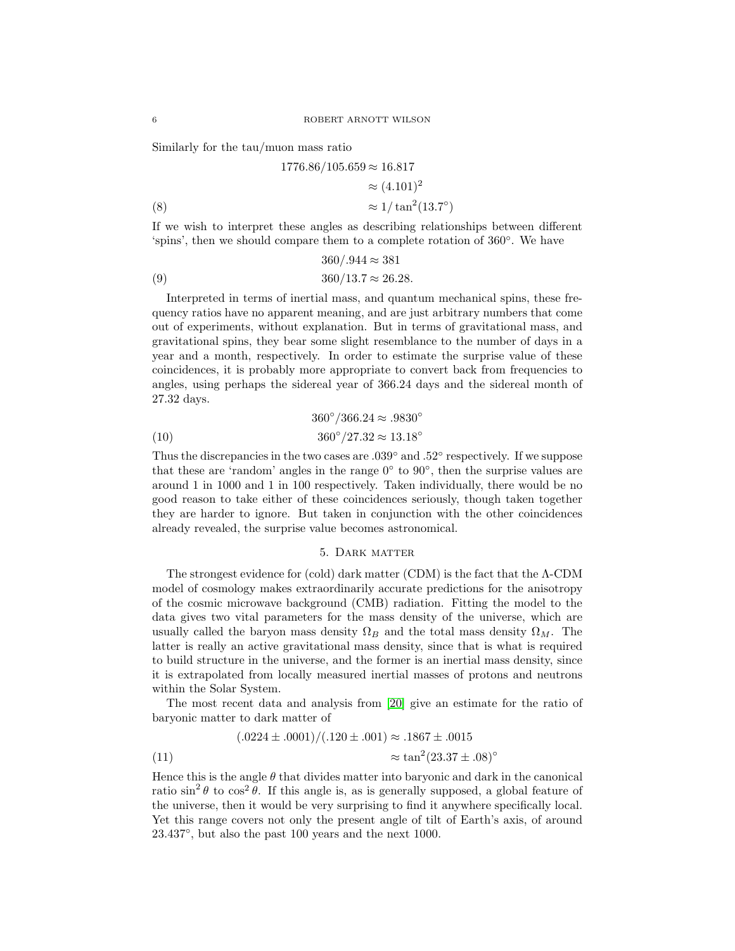Similarly for the tau/muon mass ratio

(8) 
$$
1776.86/105.659 \approx 16.817
$$

$$
\approx (4.101)^2
$$

$$
\approx 1/\tan^2(13.7^\circ)
$$

If we wish to interpret these angles as describing relationships between different 'spins', then we should compare them to a complete rotation of 360◦ . We have

(9) 
$$
360/.944 \approx 381
$$

$$
360/13.7 \approx 26.28.
$$

Interpreted in terms of inertial mass, and quantum mechanical spins, these frequency ratios have no apparent meaning, and are just arbitrary numbers that come out of experiments, without explanation. But in terms of gravitational mass, and gravitational spins, they bear some slight resemblance to the number of days in a year and a month, respectively. In order to estimate the surprise value of these coincidences, it is probably more appropriate to convert back from frequencies to angles, using perhaps the sidereal year of 366.24 days and the sidereal month of 27.32 days.

(10) 
$$
360^{\circ}/366.24 \approx .9830^{\circ}
$$

$$
360^{\circ}/27.32 \approx 13.18^{\circ}
$$

Thus the discrepancies in the two cases are  $.039^{\circ}$  and  $.52^{\circ}$  respectively. If we suppose that these are 'random' angles in the range  $0°$  to  $90°$ , then the surprise values are around 1 in 1000 and 1 in 100 respectively. Taken individually, there would be no good reason to take either of these coincidences seriously, though taken together they are harder to ignore. But taken in conjunction with the other coincidences already revealed, the surprise value becomes astronomical.

# 5. Dark matter

The strongest evidence for (cold) dark matter (CDM) is the fact that the Λ-CDM model of cosmology makes extraordinarily accurate predictions for the anisotropy of the cosmic microwave background (CMB) radiation. Fitting the model to the data gives two vital parameters for the mass density of the universe, which are usually called the baryon mass density  $\Omega_B$  and the total mass density  $\Omega_M$ . The latter is really an active gravitational mass density, since that is what is required to build structure in the universe, and the former is an inertial mass density, since it is extrapolated from locally measured inertial masses of protons and neutrons within the Solar System.

The most recent data and analysis from [\[20\]](#page-8-15) give an estimate for the ratio of baryonic matter to dark matter of

(11) 
$$
(.0224 \pm .0001) / (.120 \pm .001) \approx .1867 \pm .0015
$$

$$
\approx \tan^2(23.37 \pm .08)^\circ
$$

Hence this is the angle  $\theta$  that divides matter into baryonic and dark in the canonical ratio  $\sin^2 \theta$  to  $\cos^2 \theta$ . If this angle is, as is generally supposed, a global feature of the universe, then it would be very surprising to find it anywhere specifically local. Yet this range covers not only the present angle of tilt of Earth's axis, of around 23.437◦ , but also the past 100 years and the next 1000.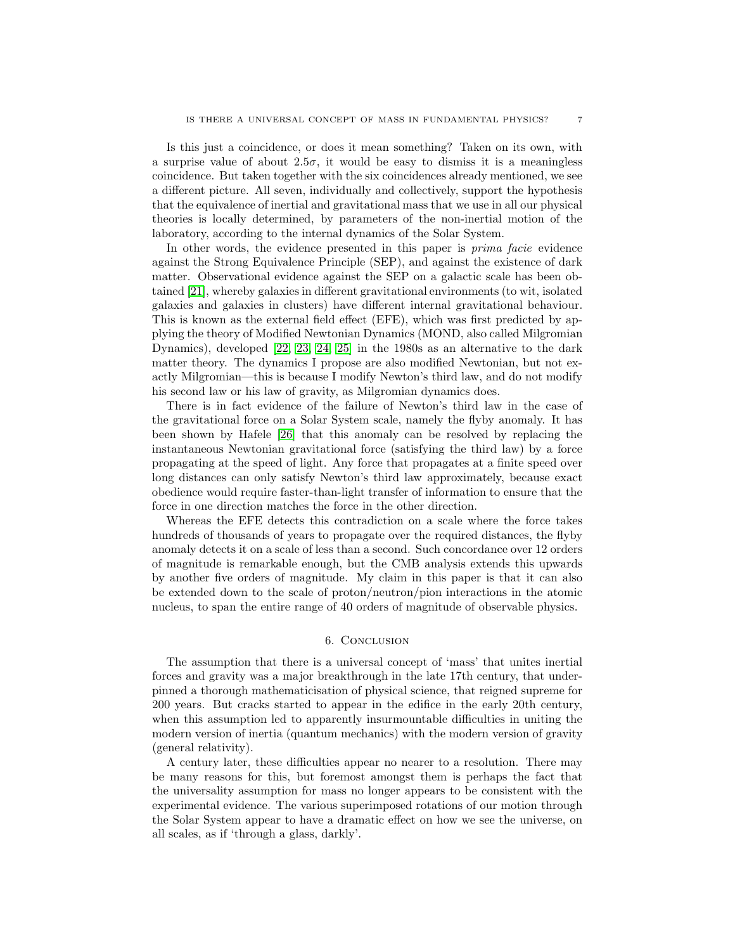Is this just a coincidence, or does it mean something? Taken on its own, with a surprise value of about  $2.5\sigma$ , it would be easy to dismiss it is a meaningless coincidence. But taken together with the six coincidences already mentioned, we see a different picture. All seven, individually and collectively, support the hypothesis that the equivalence of inertial and gravitational mass that we use in all our physical theories is locally determined, by parameters of the non-inertial motion of the laboratory, according to the internal dynamics of the Solar System.

In other words, the evidence presented in this paper is *prima facie* evidence against the Strong Equivalence Principle (SEP), and against the existence of dark matter. Observational evidence against the SEP on a galactic scale has been obtained [\[21\]](#page-8-16), whereby galaxies in different gravitational environments (to wit, isolated galaxies and galaxies in clusters) have different internal gravitational behaviour. This is known as the external field effect (EFE), which was first predicted by applying the theory of Modified Newtonian Dynamics (MOND, also called Milgromian Dynamics), developed [\[22,](#page-8-17) [23,](#page-8-18) [24,](#page-8-19) [25\]](#page-8-20) in the 1980s as an alternative to the dark matter theory. The dynamics I propose are also modified Newtonian, but not exactly Milgromian—this is because I modify Newton's third law, and do not modify his second law or his law of gravity, as Milgromian dynamics does.

There is in fact evidence of the failure of Newton's third law in the case of the gravitational force on a Solar System scale, namely the flyby anomaly. It has been shown by Hafele [\[26\]](#page-8-21) that this anomaly can be resolved by replacing the instantaneous Newtonian gravitational force (satisfying the third law) by a force propagating at the speed of light. Any force that propagates at a finite speed over long distances can only satisfy Newton's third law approximately, because exact obedience would require faster-than-light transfer of information to ensure that the force in one direction matches the force in the other direction.

Whereas the EFE detects this contradiction on a scale where the force takes hundreds of thousands of years to propagate over the required distances, the flyby anomaly detects it on a scale of less than a second. Such concordance over 12 orders of magnitude is remarkable enough, but the CMB analysis extends this upwards by another five orders of magnitude. My claim in this paper is that it can also be extended down to the scale of proton/neutron/pion interactions in the atomic nucleus, to span the entire range of 40 orders of magnitude of observable physics.

# 6. Conclusion

The assumption that there is a universal concept of 'mass' that unites inertial forces and gravity was a major breakthrough in the late 17th century, that underpinned a thorough mathematicisation of physical science, that reigned supreme for 200 years. But cracks started to appear in the edifice in the early 20th century, when this assumption led to apparently insurmountable difficulties in uniting the modern version of inertia (quantum mechanics) with the modern version of gravity (general relativity).

A century later, these difficulties appear no nearer to a resolution. There may be many reasons for this, but foremost amongst them is perhaps the fact that the universality assumption for mass no longer appears to be consistent with the experimental evidence. The various superimposed rotations of our motion through the Solar System appear to have a dramatic effect on how we see the universe, on all scales, as if 'through a glass, darkly'.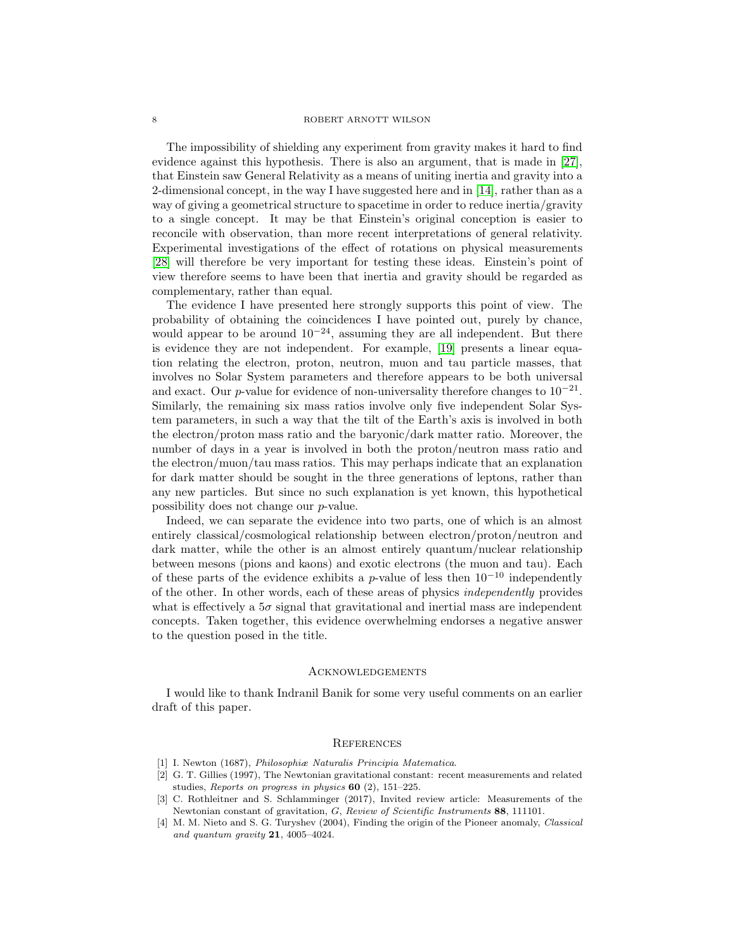#### 8 ROBERT ARNOTT WILSON

The impossibility of shielding any experiment from gravity makes it hard to find evidence against this hypothesis. There is also an argument, that is made in [\[27\]](#page-8-22), that Einstein saw General Relativity as a means of uniting inertia and gravity into a 2-dimensional concept, in the way I have suggested here and in [\[14\]](#page-8-9), rather than as a way of giving a geometrical structure to spacetime in order to reduce inertia/gravity to a single concept. It may be that Einstein's original conception is easier to reconcile with observation, than more recent interpretations of general relativity. Experimental investigations of the effect of rotations on physical measurements [\[28\]](#page-8-23) will therefore be very important for testing these ideas. Einstein's point of view therefore seems to have been that inertia and gravity should be regarded as complementary, rather than equal.

The evidence I have presented here strongly supports this point of view. The probability of obtaining the coincidences I have pointed out, purely by chance, would appear to be around  $10^{-24}$ , assuming they are all independent. But there is evidence they are not independent. For example, [\[19\]](#page-8-14) presents a linear equation relating the electron, proton, neutron, muon and tau particle masses, that involves no Solar System parameters and therefore appears to be both universal and exact. Our p-value for evidence of non-universality therefore changes to  $10^{-21}$ . Similarly, the remaining six mass ratios involve only five independent Solar System parameters, in such a way that the tilt of the Earth's axis is involved in both the electron/proton mass ratio and the baryonic/dark matter ratio. Moreover, the number of days in a year is involved in both the proton/neutron mass ratio and the electron/muon/tau mass ratios. This may perhaps indicate that an explanation for dark matter should be sought in the three generations of leptons, rather than any new particles. But since no such explanation is yet known, this hypothetical possibility does not change our p-value.

Indeed, we can separate the evidence into two parts, one of which is an almost entirely classical/cosmological relationship between electron/proton/neutron and dark matter, while the other is an almost entirely quantum/nuclear relationship between mesons (pions and kaons) and exotic electrons (the muon and tau). Each of these parts of the evidence exhibits a p-value of less then  $10^{-10}$  independently of the other. In other words, each of these areas of physics independently provides what is effectively a  $5\sigma$  signal that gravitational and inertial mass are independent concepts. Taken together, this evidence overwhelming endorses a negative answer to the question posed in the title.

#### Acknowledgements

I would like to thank Indranil Banik for some very useful comments on an earlier draft of this paper.

#### **REFERENCES**

- <span id="page-7-1"></span><span id="page-7-0"></span>[1] I. Newton (1687), Philosophiæ Naturalis Principia Matematica.
- [2] G. T. Gillies (1997), The Newtonian gravitational constant: recent measurements and related studies, Reports on progress in physics 60 (2), 151–225.
- <span id="page-7-2"></span>[3] C. Rothleitner and S. Schlamminger (2017), Invited review article: Measurements of the Newtonian constant of gravitation, G, Review of Scientific Instruments 88, 111101.
- <span id="page-7-3"></span>[4] M. M. Nieto and S. G. Turyshev (2004), Finding the origin of the Pioneer anomaly, Classical and quantum gravity 21, 4005–4024.